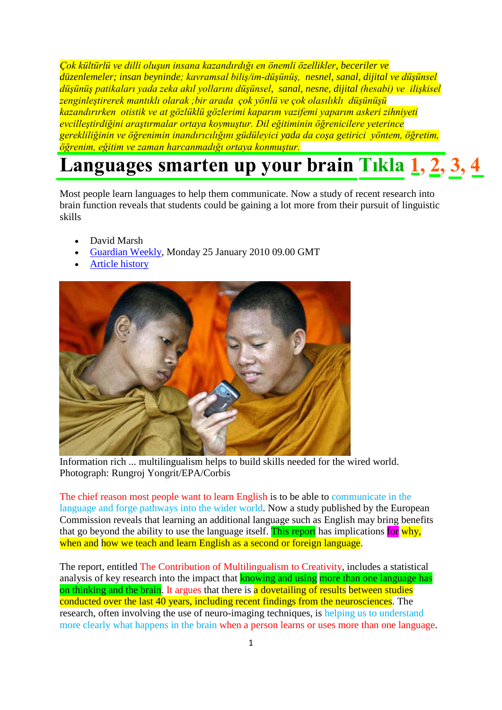*Çok kültürlü ve dilli oluşun insana kazandırdığı en önemli özellikler, beceriler ve düzenlemeler; insan beyninde; kavramsal biliş/im-düşünüş, nesnel, sanal, dijital ve düşünsel düşünüş patikaları yada zeka akıl yollarını düşünsel, sanal, nesne, dijital (hesabi) ve ilişkisel zenginleştirerek mantıklı olarak ;bir arada çok yönlü ve çok olasılıklı düşünüşü kazandırırken otistik ve at gözlüklü gözlerimi kaparım vazifemi yaparım askeri zihniyeti [evcilleştirdiğini araştırmalar ortaya koymuştur. Dil eğitiminin öğrenicilere yeterince](http://www.nadidem.net/ders/mehmetmakale/K62designingyourmind.pdf)  gerekliliğinin ve öğrenimin inandırıcılığını güdüleyici yada da coşa getirici yöntem, öğretim, öğrenim, eğitim ve zaman harcanmadığı ortaya konmuştur.* 

## **[Languages smarten up your brain](http://www.nadidem.net/ders/mehmetmakale/K29Language.pdf) Tıkla [1](http://www.nadidem.net/ders/mehmetmakale/K53Canyoubuildbetterbrain.pdf), [2,](http://www.nadidem.net/ders/mehmetmakale/K25genius.pdf) [3,](http://www.nadidem.net/ders/mehmetmakale/K18neuroscience.pdf) [4](http://www.nadidem.net/ders/mehmetmakale/K20impossibilities.pdf)**

Most people learn languages to help them communicate. Now a study of recent research into brain function reveals that students could be gaining a lot more from their pursuit of linguistic skills

- David Marsh
- [Guardian Weekly,](http://www.guardianweekly.co.uk/) Monday 25 January 2010 09.00 GMT
- [Article history](http://www.guardian.co.uk/education/2010/jan/25/tefl-linguistics#history-link-box)



Information rich ... multilingualism helps to build skills needed for the wired world. Photograph: Rungroj Yongrit/EPA/Corbis

The chief reason most people want to learn English is to be able to communicate in the language and forge pathways into the wider world. Now a study published by the European Commission reveals that learning an additional language such as English may bring benefits that go beyond the ability to use the language itself. This report has implications for why, when and how we teach and learn English as a second or foreign language.

The report, entitled The Contribution of Multilingualism to Creativity, includes a statistical analysis of key research into the impact that **knowing and using more than one language has** on thinking and the brain. It argues that there is a dovetailing of results between studies conducted over the last 40 years, including recent findings from the neurosciences. The research, often involving the use of neuro-imaging techniques, is helping us to understand more clearly what happens in the brain when a person learns or uses more than one language.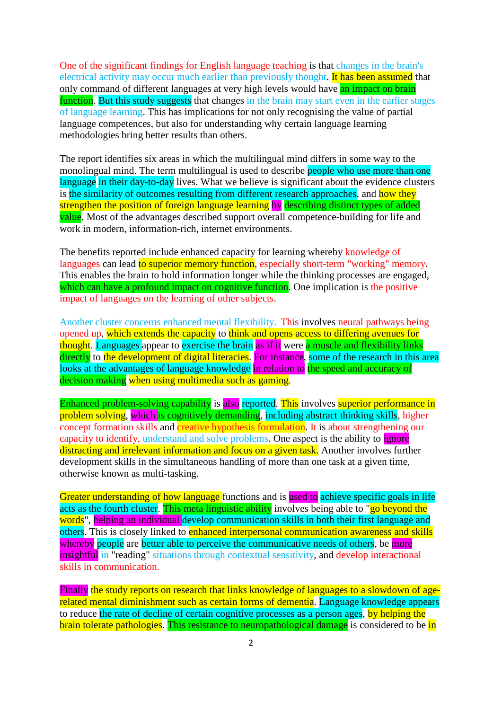One of the significant findings for English language teaching is that changes in the brain's electrical activity may occur much earlier than previously thought. It has been assumed that only command of different languages at very high levels would have an impact on brain function. But this study suggests that changes in the brain may start even in the earlier stages of language learning. This has implications for not only recognising the value of partial language competences, but also for understanding why certain language learning methodologies bring better results than others.

The report identifies six areas in which the multilingual mind differs in some way to the monolingual mind. The term multilingual is used to describe people who use more than one language in their day-to-day lives. What we believe is significant about the evidence clusters is the similarity of outcomes resulting from different research approaches, and how they strengthen the position of foreign language learning by describing distinct types of added value. Most of the advantages described support overall competence-building for life and work in modern, information-rich, internet environments.

The benefits reported include enhanced capacity for learning whereby knowledge of languages can lead to superior memory function, especially short-term "working" memory. This enables the brain to hold information longer while the thinking processes are engaged, which can have a profound impact on cognitive function. One implication is the positive impact of languages on the learning of other subjects.

Another cluster concerns enhanced mental flexibility. This involves neural pathways being opened up, which extends the capacity to think and opens access to differing avenues for thought. Languages appear to exercise the brain as if it were a muscle and flexibility links directly to the development of digital literacies. For instance, some of the research in this area looks at the advantages of language knowledge in relation to the speed and accuracy of decision making when using multimedia such as gaming.

Enhanced problem-solving capability is also reported. This involves superior performance in problem solving, which is cognitively demanding, including abstract thinking skills, higher concept formation skills and **creative hypothesis formulation**. It is about strengthening our capacity to identify, understand and solve problems. One aspect is the ability to ignore distracting and irrelevant information and focus on a given task. Another involves further development skills in the simultaneous handling of more than one task at a given time, otherwise known as multi-tasking.

Greater understanding of how language functions and is used to achieve specific goals in life acts as the fourth cluster. This meta linguistic ability involves being able to "go beyond the words", helping an individual develop communication skills in both their first language and others. This is closely linked to enhanced interpersonal communication awareness and skills whereby people are better able to perceive the communicative needs of others, be more insightful in "reading" situations through contextual sensitivity, and develop interactional skills in communication.

Finally the study reports on research that links knowledge of languages to a slowdown of agerelated mental diminishment such as certain forms of dementia. Language knowledge appears to reduce the rate of decline of certain cognitive processes as a person ages, by helping the brain tolerate pathologies. This resistance to neuropathological damage is considered to be in